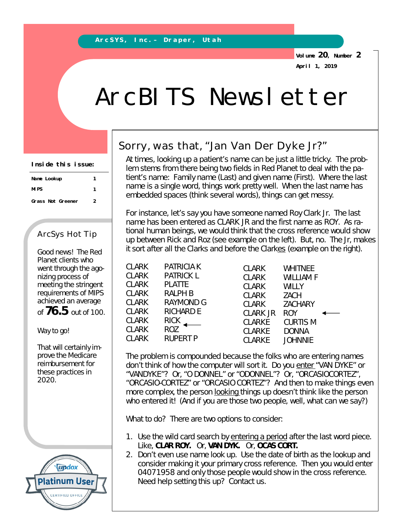**Volume 20, Number 2 April 1, 2019**

## ArcBITS Newsletter

| Inside this issue: |   |
|--------------------|---|
| Name Lookup        |   |
| <b>MIPS</b>        | 1 |
| Grass Not Greener  | 2 |

## ArcSys Hot Tip

Good news! The Red Planet clients who went through the agonizing process of meeting the stringent requirements of MIPS achieved an average of **76.5** out of 100.

Way to go!

That will certainly improve the Medicare reimbursement for these practices in 2020.



## Sorry, was that, "Jan Van Der Dyke Jr?"

At times, looking up a patient's name can be just a little tricky. The problem stems from there being two fields in Red Planet to deal with the patient's name: Family name (Last) and given name (First). Where the last name is a single word, things work pretty well. When the last name has embedded spaces (think several words), things can get messy.

For instance, let's say you have someone named Roy Clark Jr. The last name has been entered as CLARK JR and the first name as ROY. As rational human beings, we would *think* that the cross reference would show up between Rick and Roz (see example on the left). But, no. The Jr, makes it sort *after* all the Clarks and before the Clarkes (example on the right).

| <b>CLARK</b> | <b>PATRICIA K</b> |
|--------------|-------------------|
| <b>CLARK</b> | <b>PATRICK L</b>  |
| <b>CLARK</b> | <b>PLATTE</b>     |
| <b>CLARK</b> | ralph B           |
| <b>CLARK</b> | RAYMOND G         |
| <b>CLARK</b> | <b>RICHARD E</b>  |
| <b>CLARK</b> | RICK              |
| <b>CLARK</b> | ROZ               |
| <b>CLARK</b> | RUPERT P          |
|              |                   |

 CLARK WHITNEE CLARK WILLIAM F CLARK WILLY CLARK ZACH CLARK ZACHARY CLARK JR ROY CLARKE CURTIS M CLARKE DONNA CLARKE JOHNNIE

The problem is compounded because the folks who are entering names don't *think* of how the computer will sort it. Do you enter "VAN DYKE" or "VANDYKE"? Or, "O DONNEL" or "ODONNEL"? Or, "ORCASIOCORTEZ", "ORCASIO-CORTEZ" or "ORCASIO CORTEZ"? And then to make things even more complex, the person looking things up doesn't think like the person who entered it! (And if you are those two people, well, what can we say?)

What to do? There are two options to consider:

- 1. Use the wild card search by entering a period after the last word piece. Like, **CLAR ROY.** Or, **VAN DYK.** Or, **OCAS CORT.**
- 2. Don't even use name look up. Use the date of birth as the lookup and consider making it your primary cross reference. Then you would enter 04071958 and only those people would show in the cross reference. Need help setting this up? Contact us.